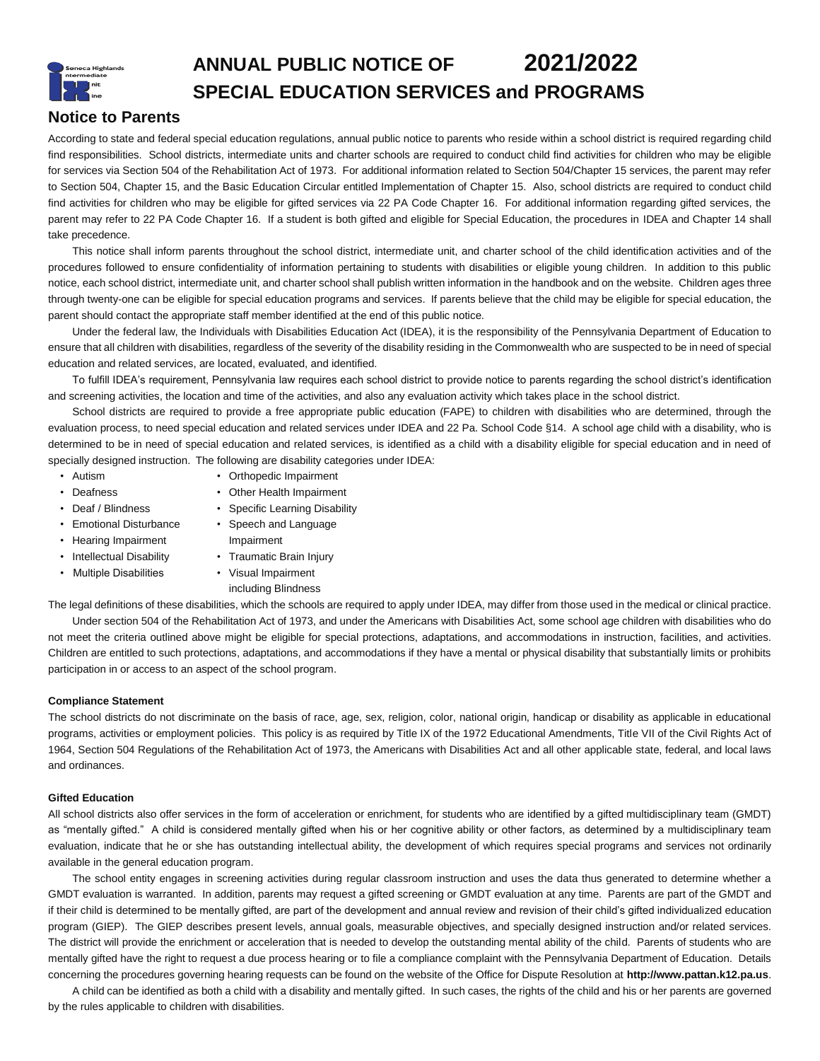# **ANNUAL PUBLIC NOTICE OF 2021/2022 SPECIAL EDUCATION SERVICES and PROGRAMS**

# **Notice to Parents**

According to state and federal special education regulations, annual public notice to parents who reside within a school district is required regarding child find responsibilities. School districts, intermediate units and charter schools are required to conduct child find activities for children who may be eligible for services via Section 504 of the Rehabilitation Act of 1973. For additional information related to Section 504/Chapter 15 services, the parent may refer to Section 504, Chapter 15, and the Basic Education Circular entitled Implementation of Chapter 15. Also, school districts are required to conduct child find activities for children who may be eligible for gifted services via 22 PA Code Chapter 16. For additional information regarding gifted services, the parent may refer to 22 PA Code Chapter 16. If a student is both gifted and eligible for Special Education, the procedures in IDEA and Chapter 14 shall take precedence.

This notice shall inform parents throughout the school district, intermediate unit, and charter school of the child identification activities and of the procedures followed to ensure confidentiality of information pertaining to students with disabilities or eligible young children. In addition to this public notice, each school district, intermediate unit, and charter school shall publish written information in the handbook and on the website. Children ages three through twenty-one can be eligible for special education programs and services. If parents believe that the child may be eligible for special education, the parent should contact the appropriate staff member identified at the end of this public notice.

Under the federal law, the Individuals with Disabilities Education Act (IDEA), it is the responsibility of the Pennsylvania Department of Education to ensure that all children with disabilities, regardless of the severity of the disability residing in the Commonwealth who are suspected to be in need of special education and related services, are located, evaluated, and identified.

To fulfill IDEA's requirement, Pennsylvania law requires each school district to provide notice to parents regarding the school district's identification and screening activities, the location and time of the activities, and also any evaluation activity which takes place in the school district.

School districts are required to provide a free appropriate public education (FAPE) to children with disabilities who are determined, through the evaluation process, to need special education and related services under IDEA and 22 Pa. School Code §14. A school age child with a disability, who is determined to be in need of special education and related services, is identified as a child with a disability eligible for special education and in need of specially designed instruction. The following are disability categories under IDEA:

- 
- Autism Orthopedic Impairment
- 
- Deafness Other Health Impairment
- Deaf / Blindness Specific Learning Disability
- Emotional Disturbance Speech and Language • Hearing Impairment Impairment
- Intellectual Disability Traumatic Brain Injury
	-
	- Multiple Disabilities Visual Impairment
		- including Blindness

The legal definitions of these disabilities, which the schools are required to apply under IDEA, may differ from those used in the medical or clinical practice.

Under section 504 of the Rehabilitation Act of 1973, and under the Americans with Disabilities Act, some school age children with disabilities who do not meet the criteria outlined above might be eligible for special protections, adaptations, and accommodations in instruction, facilities, and activities. Children are entitled to such protections, adaptations, and accommodations if they have a mental or physical disability that substantially limits or prohibits participation in or access to an aspect of the school program.

# **Compliance Statement**

The school districts do not discriminate on the basis of race, age, sex, religion, color, national origin, handicap or disability as applicable in educational programs, activities or employment policies. This policy is as required by Title IX of the 1972 Educational Amendments, Title VII of the Civil Rights Act of 1964, Section 504 Regulations of the Rehabilitation Act of 1973, the Americans with Disabilities Act and all other applicable state, federal, and local laws and ordinances.

# **Gifted Education**

All school districts also offer services in the form of acceleration or enrichment, for students who are identified by a gifted multidisciplinary team (GMDT) as "mentally gifted." A child is considered mentally gifted when his or her cognitive ability or other factors, as determined by a multidisciplinary team evaluation, indicate that he or she has outstanding intellectual ability, the development of which requires special programs and services not ordinarily available in the general education program.

The school entity engages in screening activities during regular classroom instruction and uses the data thus generated to determine whether a GMDT evaluation is warranted. In addition, parents may request a gifted screening or GMDT evaluation at any time. Parents are part of the GMDT and if their child is determined to be mentally gifted, are part of the development and annual review and revision of their child's gifted individualized education program (GIEP). The GIEP describes present levels, annual goals, measurable objectives, and specially designed instruction and/or related services. The district will provide the enrichment or acceleration that is needed to develop the outstanding mental ability of the child. Parents of students who are mentally gifted have the right to request a due process hearing or to file a compliance complaint with the Pennsylvania Department of Education. Details concerning the procedures governing hearing requests can be found on the website of the Office for Dispute Resolution at **http://www.pattan.k12.pa.us**.

A child can be identified as both a child with a disability and mentally gifted. In such cases, the rights of the child and his or her parents are governed by the rules applicable to children with disabilities.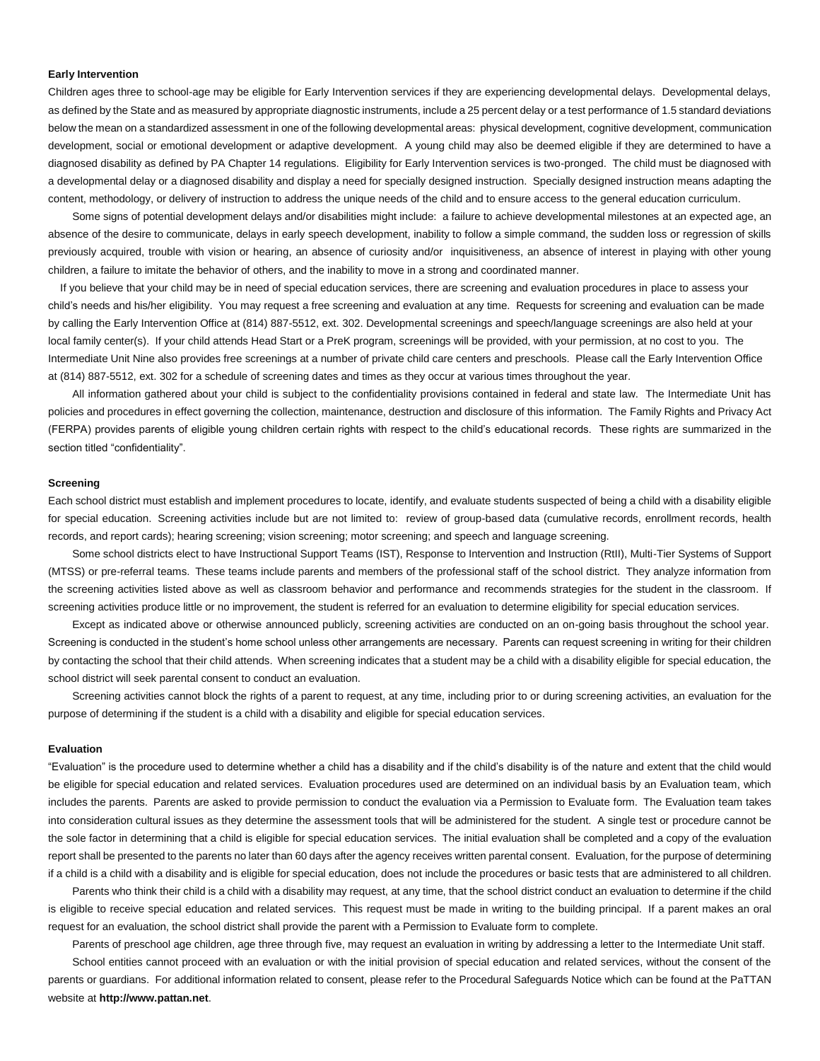#### **Early Intervention**

Children ages three to school-age may be eligible for Early Intervention services if they are experiencing developmental delays. Developmental delays, as defined by the State and as measured by appropriate diagnostic instruments, include a 25 percent delay or a test performance of 1.5 standard deviations below the mean on a standardized assessment in one of the following developmental areas: physical development, cognitive development, communication development, social or emotional development or adaptive development. A young child may also be deemed eligible if they are determined to have a diagnosed disability as defined by PA Chapter 14 regulations. Eligibility for Early Intervention services is two-pronged. The child must be diagnosed with a developmental delay or a diagnosed disability and display a need for specially designed instruction. Specially designed instruction means adapting the content, methodology, or delivery of instruction to address the unique needs of the child and to ensure access to the general education curriculum.

Some signs of potential development delays and/or disabilities might include: a failure to achieve developmental milestones at an expected age, an absence of the desire to communicate, delays in early speech development, inability to follow a simple command, the sudden loss or regression of skills previously acquired, trouble with vision or hearing, an absence of curiosity and/or inquisitiveness, an absence of interest in playing with other young children, a failure to imitate the behavior of others, and the inability to move in a strong and coordinated manner.

If you believe that your child may be in need of special education services, there are screening and evaluation procedures in place to assess your child's needs and his/her eligibility. You may request a free screening and evaluation at any time. Requests for screening and evaluation can be made by calling the Early Intervention Office at (814) 887-5512, ext. 302. Developmental screenings and speech/language screenings are also held at your local family center(s). If your child attends Head Start or a PreK program, screenings will be provided, with your permission, at no cost to you. The Intermediate Unit Nine also provides free screenings at a number of private child care centers and preschools. Please call the Early Intervention Office at (814) 887-5512, ext. 302 for a schedule of screening dates and times as they occur at various times throughout the year.

All information gathered about your child is subject to the confidentiality provisions contained in federal and state law. The Intermediate Unit has policies and procedures in effect governing the collection, maintenance, destruction and disclosure of this information. The Family Rights and Privacy Act (FERPA) provides parents of eligible young children certain rights with respect to the child's educational records. These rights are summarized in the section titled "confidentiality".

#### **Screening**

Each school district must establish and implement procedures to locate, identify, and evaluate students suspected of being a child with a disability eligible for special education. Screening activities include but are not limited to: review of group-based data (cumulative records, enrollment records, health records, and report cards); hearing screening; vision screening; motor screening; and speech and language screening.

Some school districts elect to have Instructional Support Teams (IST), Response to Intervention and Instruction (RtII), Multi-Tier Systems of Support (MTSS) or pre-referral teams. These teams include parents and members of the professional staff of the school district. They analyze information from the screening activities listed above as well as classroom behavior and performance and recommends strategies for the student in the classroom. If screening activities produce little or no improvement, the student is referred for an evaluation to determine eligibility for special education services.

Except as indicated above or otherwise announced publicly, screening activities are conducted on an on-going basis throughout the school year. Screening is conducted in the student's home school unless other arrangements are necessary. Parents can request screening in writing for their children by contacting the school that their child attends. When screening indicates that a student may be a child with a disability eligible for special education, the school district will seek parental consent to conduct an evaluation.

Screening activities cannot block the rights of a parent to request, at any time, including prior to or during screening activities, an evaluation for the purpose of determining if the student is a child with a disability and eligible for special education services.

# **Evaluation**

"Evaluation" is the procedure used to determine whether a child has a disability and if the child's disability is of the nature and extent that the child would be eligible for special education and related services. Evaluation procedures used are determined on an individual basis by an Evaluation team, which includes the parents. Parents are asked to provide permission to conduct the evaluation via a Permission to Evaluate form. The Evaluation team takes into consideration cultural issues as they determine the assessment tools that will be administered for the student. A single test or procedure cannot be the sole factor in determining that a child is eligible for special education services. The initial evaluation shall be completed and a copy of the evaluation report shall be presented to the parents no later than 60 days after the agency receives written parental consent. Evaluation, for the purpose of determining if a child is a child with a disability and is eligible for special education, does not include the procedures or basic tests that are administered to all children.

Parents who think their child is a child with a disability may request, at any time, that the school district conduct an evaluation to determine if the child is eligible to receive special education and related services. This request must be made in writing to the building principal. If a parent makes an oral request for an evaluation, the school district shall provide the parent with a Permission to Evaluate form to complete.

Parents of preschool age children, age three through five, may request an evaluation in writing by addressing a letter to the Intermediate Unit staff. School entities cannot proceed with an evaluation or with the initial provision of special education and related services, without the consent of the parents or guardians. For additional information related to consent, please refer to the Procedural Safeguards Notice which can be found at the PaTTAN website at **http://www.pattan.net**.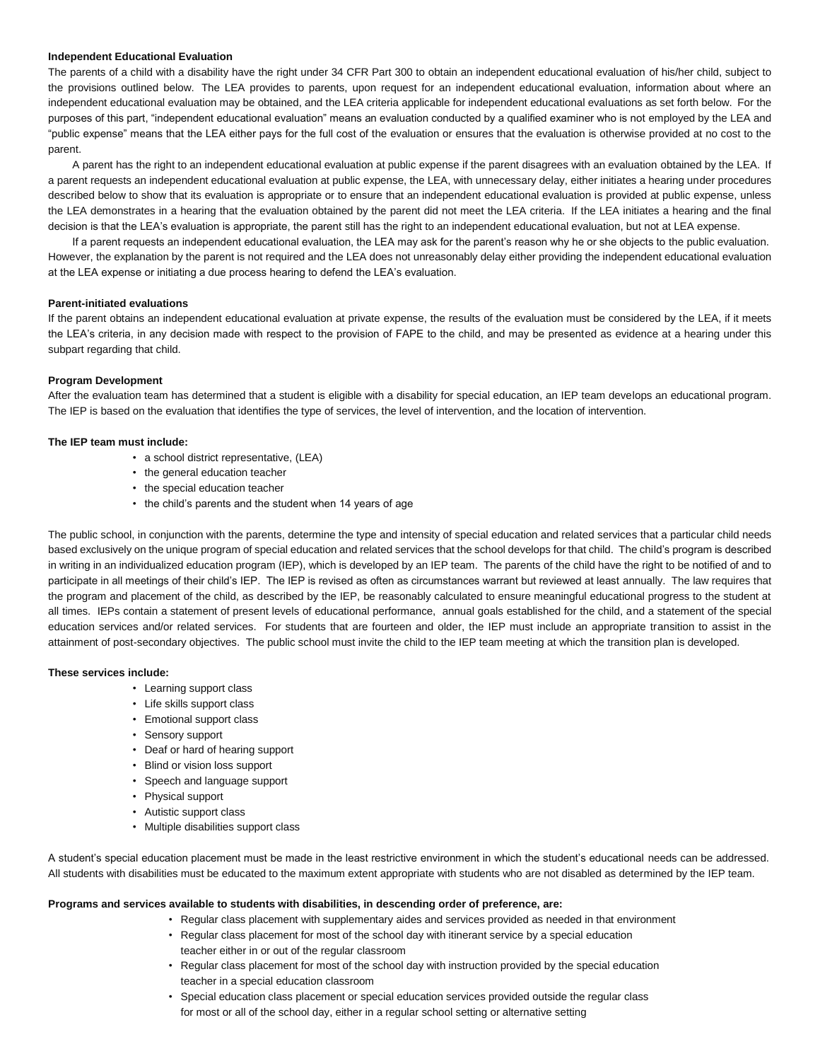# **Independent Educational Evaluation**

The parents of a child with a disability have the right under 34 CFR Part 300 to obtain an independent educational evaluation of his/her child, subject to the provisions outlined below. The LEA provides to parents, upon request for an independent educational evaluation, information about where an independent educational evaluation may be obtained, and the LEA criteria applicable for independent educational evaluations as set forth below. For the purposes of this part, "independent educational evaluation" means an evaluation conducted by a qualified examiner who is not employed by the LEA and "public expense" means that the LEA either pays for the full cost of the evaluation or ensures that the evaluation is otherwise provided at no cost to the parent.

A parent has the right to an independent educational evaluation at public expense if the parent disagrees with an evaluation obtained by the LEA. If a parent requests an independent educational evaluation at public expense, the LEA, with unnecessary delay, either initiates a hearing under procedures described below to show that its evaluation is appropriate or to ensure that an independent educational evaluation is provided at public expense, unless the LEA demonstrates in a hearing that the evaluation obtained by the parent did not meet the LEA criteria. If the LEA initiates a hearing and the final decision is that the LEA's evaluation is appropriate, the parent still has the right to an independent educational evaluation, but not at LEA expense.

If a parent requests an independent educational evaluation, the LEA may ask for the parent's reason why he or she objects to the public evaluation. However, the explanation by the parent is not required and the LEA does not unreasonably delay either providing the independent educational evaluation at the LEA expense or initiating a due process hearing to defend the LEA's evaluation.

#### **Parent-initiated evaluations**

If the parent obtains an independent educational evaluation at private expense, the results of the evaluation must be considered by the LEA, if it meets the LEA's criteria, in any decision made with respect to the provision of FAPE to the child, and may be presented as evidence at a hearing under this subpart regarding that child.

# **Program Development**

After the evaluation team has determined that a student is eligible with a disability for special education, an IEP team develops an educational program. The IEP is based on the evaluation that identifies the type of services, the level of intervention, and the location of intervention.

# **The IEP team must include:**

- a school district representative, (LEA)
- the general education teacher
- the special education teacher
- the child's parents and the student when 14 years of age

The public school, in conjunction with the parents, determine the type and intensity of special education and related services that a particular child needs based exclusively on the unique program of special education and related services that the school develops for that child. The child's program is described in writing in an individualized education program (IEP), which is developed by an IEP team. The parents of the child have the right to be notified of and to participate in all meetings of their child's IEP. The IEP is revised as often as circumstances warrant but reviewed at least annually. The law requires that the program and placement of the child, as described by the IEP, be reasonably calculated to ensure meaningful educational progress to the student at all times. IEPs contain a statement of present levels of educational performance, annual goals established for the child, and a statement of the special education services and/or related services. For students that are fourteen and older, the IEP must include an appropriate transition to assist in the attainment of post-secondary objectives. The public school must invite the child to the IEP team meeting at which the transition plan is developed.

#### **These services include:**

- Learning support class
- Life skills support class
- Emotional support class
- Sensory support
- Deaf or hard of hearing support
- Blind or vision loss support
- Speech and language support
- Physical support
- Autistic support class
- Multiple disabilities support class

A student's special education placement must be made in the least restrictive environment in which the student's educational needs can be addressed. All students with disabilities must be educated to the maximum extent appropriate with students who are not disabled as determined by the IEP team.

#### **Programs and services available to students with disabilities, in descending order of preference, are:**

- Regular class placement with supplementary aides and services provided as needed in that environment
- Regular class placement for most of the school day with itinerant service by a special education
- teacher either in or out of the regular classroom
- Regular class placement for most of the school day with instruction provided by the special education teacher in a special education classroom
- Special education class placement or special education services provided outside the regular class for most or all of the school day, either in a regular school setting or alternative setting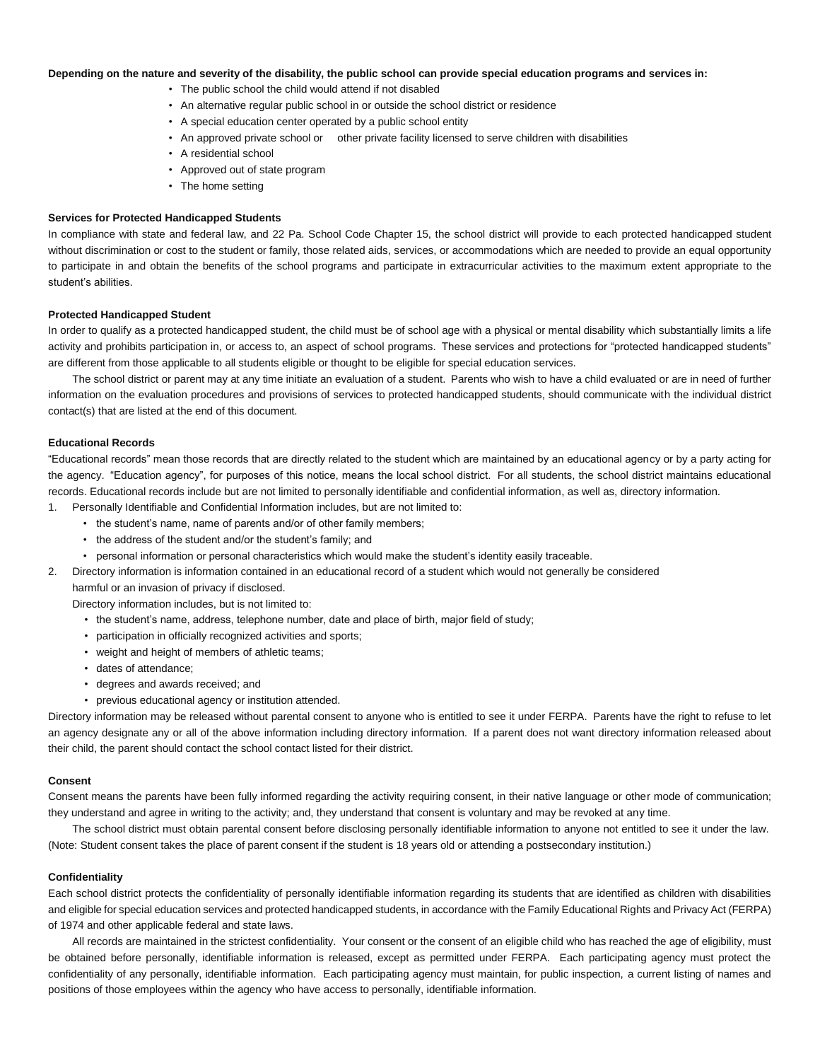# **Depending on the nature and severity of the disability, the public school can provide special education programs and services in:**

- The public school the child would attend if not disabled
- An alternative regular public school in or outside the school district or residence
- A special education center operated by a public school entity
- An approved private school or other private facility licensed to serve children with disabilities
- A residential school
- Approved out of state program
- The home setting

# **Services for Protected Handicapped Students**

In compliance with state and federal law, and 22 Pa. School Code Chapter 15, the school district will provide to each protected handicapped student without discrimination or cost to the student or family, those related aids, services, or accommodations which are needed to provide an equal opportunity to participate in and obtain the benefits of the school programs and participate in extracurricular activities to the maximum extent appropriate to the student's abilities.

# **Protected Handicapped Student**

In order to qualify as a protected handicapped student, the child must be of school age with a physical or mental disability which substantially limits a life activity and prohibits participation in, or access to, an aspect of school programs. These services and protections for "protected handicapped students" are different from those applicable to all students eligible or thought to be eligible for special education services.

The school district or parent may at any time initiate an evaluation of a student. Parents who wish to have a child evaluated or are in need of further information on the evaluation procedures and provisions of services to protected handicapped students, should communicate with the individual district contact(s) that are listed at the end of this document.

# **Educational Records**

"Educational records" mean those records that are directly related to the student which are maintained by an educational agency or by a party acting for the agency. "Education agency", for purposes of this notice, means the local school district. For all students, the school district maintains educational records. Educational records include but are not limited to personally identifiable and confidential information, as well as, directory information.

- 1. Personally Identifiable and Confidential Information includes, but are not limited to:
	- the student's name, name of parents and/or of other family members;
	- the address of the student and/or the student's family; and
	- personal information or personal characteristics which would make the student's identity easily traceable.
- 2. Directory information is information contained in an educational record of a student which would not generally be considered

harmful or an invasion of privacy if disclosed.

- Directory information includes, but is not limited to:
	- the student's name, address, telephone number, date and place of birth, major field of study;
	- participation in officially recognized activities and sports;
	- weight and height of members of athletic teams;
	- dates of attendance;
	- degrees and awards received; and
	- previous educational agency or institution attended.

Directory information may be released without parental consent to anyone who is entitled to see it under FERPA. Parents have the right to refuse to let an agency designate any or all of the above information including directory information. If a parent does not want directory information released about their child, the parent should contact the school contact listed for their district.

#### **Consent**

Consent means the parents have been fully informed regarding the activity requiring consent, in their native language or other mode of communication; they understand and agree in writing to the activity; and, they understand that consent is voluntary and may be revoked at any time.

The school district must obtain parental consent before disclosing personally identifiable information to anyone not entitled to see it under the law. (Note: Student consent takes the place of parent consent if the student is 18 years old or attending a postsecondary institution.)

# **Confidentiality**

Each school district protects the confidentiality of personally identifiable information regarding its students that are identified as children with disabilities and eligible for special education services and protected handicapped students, in accordance with the Family Educational Rights and Privacy Act (FERPA) of 1974 and other applicable federal and state laws.

All records are maintained in the strictest confidentiality. Your consent or the consent of an eligible child who has reached the age of eligibility, must be obtained before personally, identifiable information is released, except as permitted under FERPA. Each participating agency must protect the confidentiality of any personally, identifiable information. Each participating agency must maintain, for public inspection, a current listing of names and positions of those employees within the agency who have access to personally, identifiable information.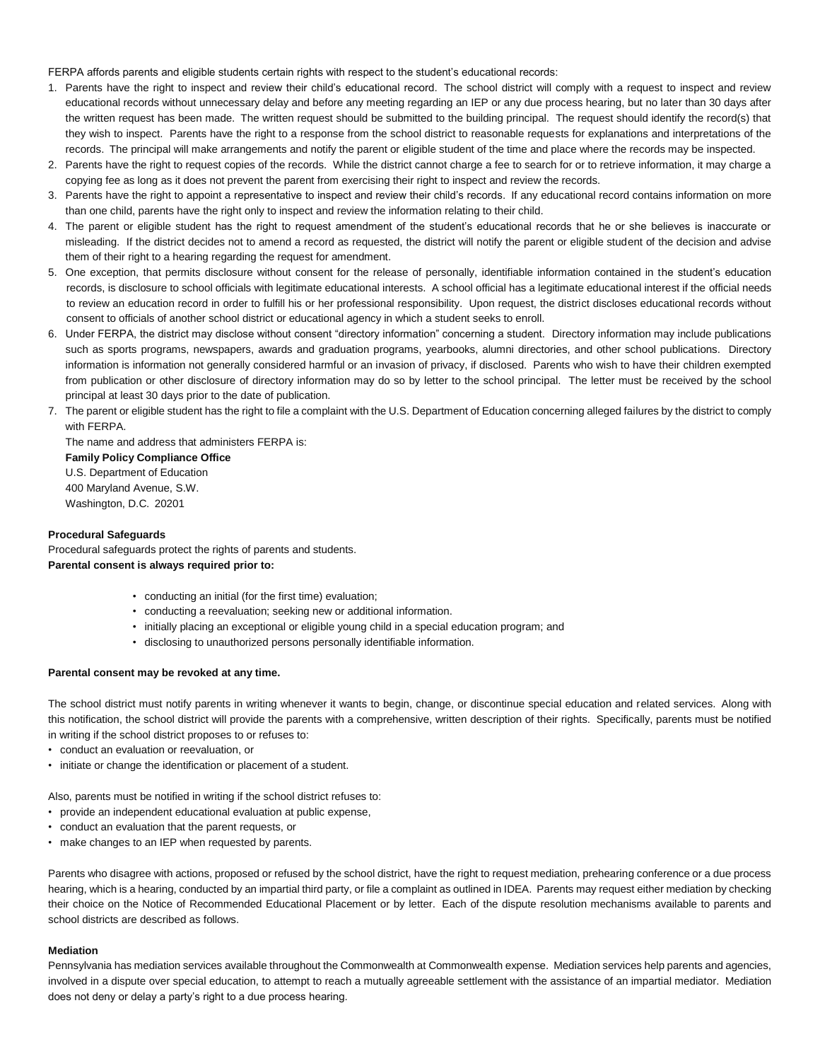FERPA affords parents and eligible students certain rights with respect to the student's educational records:

- 1. Parents have the right to inspect and review their child's educational record. The school district will comply with a request to inspect and review educational records without unnecessary delay and before any meeting regarding an IEP or any due process hearing, but no later than 30 days after the written request has been made. The written request should be submitted to the building principal. The request should identify the record(s) that they wish to inspect. Parents have the right to a response from the school district to reasonable requests for explanations and interpretations of the records. The principal will make arrangements and notify the parent or eligible student of the time and place where the records may be inspected.
- 2. Parents have the right to request copies of the records. While the district cannot charge a fee to search for or to retrieve information, it may charge a copying fee as long as it does not prevent the parent from exercising their right to inspect and review the records.
- 3. Parents have the right to appoint a representative to inspect and review their child's records. If any educational record contains information on more than one child, parents have the right only to inspect and review the information relating to their child.
- 4. The parent or eligible student has the right to request amendment of the student's educational records that he or she believes is inaccurate or misleading. If the district decides not to amend a record as requested, the district will notify the parent or eligible student of the decision and advise them of their right to a hearing regarding the request for amendment.
- 5. One exception, that permits disclosure without consent for the release of personally, identifiable information contained in the student's education records, is disclosure to school officials with legitimate educational interests. A school official has a legitimate educational interest if the official needs to review an education record in order to fulfill his or her professional responsibility. Upon request, the district discloses educational records without consent to officials of another school district or educational agency in which a student seeks to enroll.
- 6. Under FERPA, the district may disclose without consent "directory information" concerning a student. Directory information may include publications such as sports programs, newspapers, awards and graduation programs, yearbooks, alumni directories, and other school publications. Directory information is information not generally considered harmful or an invasion of privacy, if disclosed. Parents who wish to have their children exempted from publication or other disclosure of directory information may do so by letter to the school principal. The letter must be received by the school principal at least 30 days prior to the date of publication.
- 7. The parent or eligible student has the right to file a complaint with the U.S. Department of Education concerning alleged failures by the district to comply with FERPA.

The name and address that administers FERPA is: **Family Policy Compliance Office** U.S. Department of Education 400 Maryland Avenue, S.W. Washington, D.C. 20201

# **Procedural Safeguards**

Procedural safeguards protect the rights of parents and students. **Parental consent is always required prior to:**

- conducting an initial (for the first time) evaluation;
- conducting a reevaluation; seeking new or additional information.
- initially placing an exceptional or eligible young child in a special education program; and
- disclosing to unauthorized persons personally identifiable information.

#### **Parental consent may be revoked at any time.**

The school district must notify parents in writing whenever it wants to begin, change, or discontinue special education and related services. Along with this notification, the school district will provide the parents with a comprehensive, written description of their rights. Specifically, parents must be notified in writing if the school district proposes to or refuses to:

- conduct an evaluation or reevaluation, or
- initiate or change the identification or placement of a student.

Also, parents must be notified in writing if the school district refuses to:

- provide an independent educational evaluation at public expense,
- conduct an evaluation that the parent requests, or
- make changes to an IEP when requested by parents.

Parents who disagree with actions, proposed or refused by the school district, have the right to request mediation, prehearing conference or a due process hearing, which is a hearing, conducted by an impartial third party, or file a complaint as outlined in IDEA. Parents may request either mediation by checking their choice on the Notice of Recommended Educational Placement or by letter. Each of the dispute resolution mechanisms available to parents and school districts are described as follows.

#### **Mediation**

Pennsylvania has mediation services available throughout the Commonwealth at Commonwealth expense. Mediation services help parents and agencies, involved in a dispute over special education, to attempt to reach a mutually agreeable settlement with the assistance of an impartial mediator. Mediation does not deny or delay a party's right to a due process hearing.